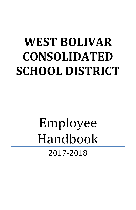# **WEST BOLIVAR CONSOLIDATED SCHOOL DISTRICT**

## Employee Handbook 2017-2018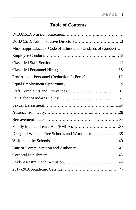## **Table of Contents**

| Mississippi Educator Code of Ethics and Standards of Conduct5 |  |
|---------------------------------------------------------------|--|
|                                                               |  |
|                                                               |  |
|                                                               |  |
| Professional Personnel (Reduction In Force)18                 |  |
|                                                               |  |
|                                                               |  |
|                                                               |  |
|                                                               |  |
|                                                               |  |
|                                                               |  |
|                                                               |  |
| Drug and Weapon Free Schools and Workplace38                  |  |
|                                                               |  |
|                                                               |  |
|                                                               |  |
|                                                               |  |
|                                                               |  |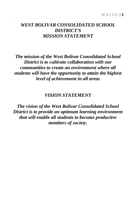## *WEST BOLIVAR CONSOLIDATED SCHOOL DISTRICT'S MISSION STATEMENT*

*The mission of the West Bolivar Consolidated School District is to cultivate collaboration with our communities to create an environment where all students will have the opportunity to attain the highest level of achievement in all areas*

## *VISION STATEMENT*

*The vision of the West Bolivar Consolidated School District is to provide an optimum learning environment that will enable all students to become productive members of society.*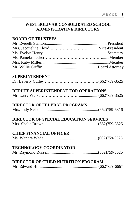## **WEST BOLIVAR CONSOLIDATED SCHOOL ADMINISTRATIVE DIRECTORY**

## **BOARD OF TRUSTEES**

## **SUPERINTENDENT**

|--|--|--|

## **DEPUTY SUPERINTENDENT FOR OPERATIONS**

|--|--|--|--|--|

## **DIRECTOR OF FEDERAL PROGRAMS**

|--|--|--|

## **DIRECTOR OF SPECIAL EDUCATION SERVICES**

|--|--|--|--|--|

## **CHIEF FINANCIAL OFFICER**

```
Ms. Wandra Wade.....................................................(662)759-3525
```
## **TECHNOLOGY COORDINATOR**

|--|--|--|--|--|

## **DIRECTOR OF CHILD NUTRITION PROGRAM**

|--|--|--|--|--|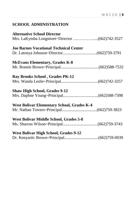## **SCHOOL ADMINISTRATION**

| <b>Alternative School Director</b>                |  |
|---------------------------------------------------|--|
|                                                   |  |
| <b>Joe Barnes Vocational Technical Center</b>     |  |
|                                                   |  |
| <b>McEvans Elementary, Grades K-8</b>             |  |
|                                                   |  |
| <b>Ray Brooks School, Grades PK-12</b>            |  |
|                                                   |  |
| <b>Shaw High School, Grades 9-12</b>              |  |
|                                                   |  |
| <b>West Bolivar Elementary School, Grades K-4</b> |  |
|                                                   |  |
| West Bolivar Middle School, Grades 5-8            |  |
|                                                   |  |
| <b>West Bolivar High School, Grades 9-12</b>      |  |
|                                                   |  |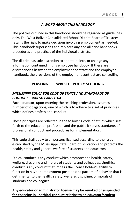#### *A WORD ABOUT THIS HANDBOOK*

The policies outlined in this handbook should be regarded as guidelines only. The West Bolivar Consolidated School District Board of Trustees retains the right to make decisions involving employment as needed. This handbook supersedes and replaces any and all prior handbooks, procedures and practices of the individual districts.

The district has sole discretion to add to, delete, or change any information contained in this employee handbook. If there are discrepancies between the employment contract and the employee handbook, the provisions of the employment contract are controlling.

## **PERSONNEL – WBCSD – POLICY SECTION G**

#### *MISSISSIPPI EDUCATOR CODE OF ETHICS AND STANDARDS OF CONDUCT – WBCSD Policy GAA*

Each educator, upon entering the teaching profession, assumes a number of obligations, one of which is to adhere to a set of principles which defines professional conduct.

These principles are reflected in the following code of ethics which sets forth to the education profession and the public it serves standards of professional conduct and procedures for implementation.

This code shall apply to all persons licensed according to the rules established by the Mississippi State Board of Education and protects the health, safety and general welfare of students and educators.

Ethical conduct is any conduct which promotes the health, safety, welfare, discipline and morals of students and colleagues. Unethical conduct is any conduct that impairs the license holder's ability to function in his/her employment position or a pattern of behavior that is detrimental to the health, safety, welfare, discipline, or morals of students and colleagues.

#### **Any educator or administrator license may be revoked or suspended for engaging in unethical conduct relating to an educator/student**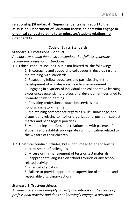## **relationship (Standard 4). Superintendents shall report to the Mississippi Department of Education license holders who engage in unethical conduct relating to an educator/student relationship (Standard 4).**

## **Code of Ethics Standards**

## **Standard 1: Professional Conduct**

*An educator should demonstrate conduct that follows generally recognized professional standards.*

1.1. Ethical conduct includes, but is not limited to, the following:

1. Encouraging and supporting colleagues in developing and maintaining high standards

2. Respecting fellow educators and participating in the development of a professional teaching environment

3. Engaging in a variety of individual and collaborative learning experiences essential to professional development designed to promote student learning

4. Providing professional education services in a nondiscriminatory manner

5. Maintaining competence regarding skills, knowledge, and dispositions relating to his/her organizational position, subject matter and pedagogical practices

6. Maintaining a professional relationship with parents of students and establish appropriate communication related to the welfare of their children

- 1.2. Unethical conduct includes, but is not limited to, the following:
	- 1. Harassment of colleagues
	- 2. Misuse or mismanagement of tests or test materials

3. Inappropriate language on school grounds or any schoolrelated activity

4. Physical altercations

5. Failure to provide appropriate supervision of students and reasonable disciplinary actions

## **Standard 2. Trustworthiness**

*An educator should exemplify honesty and integrity in the course of professional practice and does not knowingly engage in deceptive*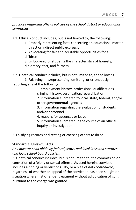*practices regarding official policies of the school district or educational institution.*

2.1. Ethical conduct includes, but is not limited to, the following:

1. Properly representing facts concerning an educational matter in direct or indirect public expression

2. Advocating for fair and equitable opportunities for all children

3. Embodying for students the characteristics of honesty, diplomacy, tact, and fairness.

2.2. Unethical conduct includes, but is not limited to, the following:

1. Falsifying, misrepresenting, omitting, or erroneously reporting any of the following:

> 1. employment history, professional qualifications, criminal history, certification/recertification

2. information submitted to local, state, federal, and/or other governmental agencies

3. information regarding the evaluation of students and/or personnel

4. reasons for absences or leave

5. information submitted in the course of an official inquiry or investigation

2. Falsifying records or directing or coercing others to do so

#### **Standard 3. Unlawful Acts**

## *An educator shall abide by federal, state, and local laws and statutes and local school board policies.*

3. Unethical conduct includes, but is not limited to, the commission or conviction of a felony or sexual offense. As used herein, conviction includes a finding or verdict of guilty, or a plea of *nolo contendere*, regardless of whether an appeal of the conviction has been sought or situation where first offender treatment without adjudication of guilt pursuant to the charge was granted.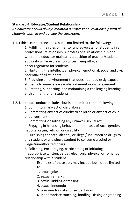#### **Standard 4. Educator/Student Relationship**

*An educator should always maintain a professional relationship with all students, both in and outside the classroom.*

4.1. Ethical conduct includes, but is not limited to, the following:

1. Fulfilling the roles of mentor and advocate for students in a professional relationship. A professional relationship is one where the educator maintains a position of teacher/student authority while expressing concern, empathy, and encouragement for students

2. Nurturing the intellectual, physical, emotional, social and civic potential of all students

3. Providing an environment that does not needlessly expose students to unnecessary embarrassment or disparagement 4. Creating, supporting, and maintaining a challenging learning environment for all students

- 4.2. Unethical conduct includes, but is not limited to the following:
	- 1. Committing any act of child abuse

2. Committing any act of cruelty to children or any act of child endangerment

3. Committing or soliciting any unlawful sexual act

4. Engaging in harassing behavior on the basis of race, gender, national origin, religion or disability

5. Furnishing tobacco, alcohol, or illegal/unauthorized drugs to any student or allowing a student to consume alcohol or illegal/unauthorized drugs

6. Soliciting, encouraging, participating or initiating inappropriate written, verbal, electronic, physical or romantic relationship with a student.

> Examples of these acts may include but not be limited to:

- 1. sexual jokes
- 2. sexual remarks
- 3. sexual kidding or teasing
- 4. sexual innuendo
- 5. pressure for dates or sexual favors
- 6. inappropriate touching, fondling, kissing or grabbing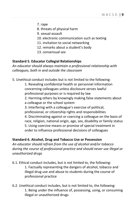- 7. rape
- 8. threats of physical harm
- 9. sexual assault
- 10. electronic communication such as texting
- 11. invitation to social networking
- 12. remarks about a student's body
- 13. consensual sex

#### **Standard 5. Educator Collegial Relationships**

*An educator should always maintain a professional relationship with colleagues, both in and outside the classroom*

5. Unethical conduct includes but is not limited to the following:

1. Revealing confidential health or personnel information concerning colleagues unless disclosure serves lawful professional purposes or is required by law

2. Harming others by knowingly making false statements about a colleague or the school system

3. Interfering with a colleague's exercise of political, professional, or citizenship rights and responsibilities 4. Discriminating against or coercing a colleague on the basis of race, religion, national origin, age, sex, disability or family status

5. Using coercive means or promise of special treatment in order to influence professional decisions of colleagues

#### **Standard 6. Alcohol, Drug and Tobacco Use or Possession**

*An educator should refrain from the use of alcohol and/or tobacco during the course of professional practice and should never use illegal or unauthorized drugs*

- 6.1. Ethical conduct includes, but is not limited to, the following: 1. Factually representing the dangers of alcohol, tobacco and illegal drug use and abuse to students during the course of professional practice
- 6.2. Unethical conduct includes, but is not limited to, the following: 1. Being under the influence of, possessing, using, or consuming illegal or unauthorized drugs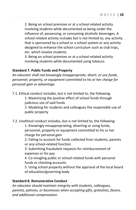2. Being on school premises or at a school-related activity involving students while documented as being under the influence of, possessing, or consuming alcoholic beverages. A school-related activity includes but is not limited to, any activity that is sponsored by a school or a school system or any activity designed to enhance the school curriculum such as club trips, etc. which involve students.

3. Being on school premises or at a school-related activity involving students while documented using tobacco.

#### **Standard 7. Public Funds and Property**

*An educator shall not knowingly misappropriate, divert, or use funds, personnel, property, or equipment committed to his or her charge for personal gain or advantage.*

7.1. Ethical conduct includes, but is not limited to, the following:

1. Maximizing the positive effect of school funds through judicious use of said funds

2. Modeling for students and colleagues the responsible use of public property

7.2. Unethical conduct includes, but is not limited to, the following:

1. Knowingly misappropriating, diverting or using funds, personnel, property or equipment committed to his or her charge for personal gain

2. Failing to account for funds collected from students, parents or any school-related function

3. Submitting fraudulent requests for reimbursement of expenses or for pay

4. Co-mingling public or school-related funds with personal funds or checking accounts

5. Using school property without the approval of the local board of education/governing body

#### **Standard 8. Remunerative Conduct**

*An educator should maintain integrity with students, colleagues, parents, patrons, or businesses when accepting gifts, gratuities, favors, and additional compensation.*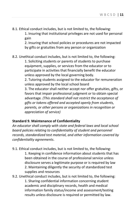8.1. Ethical conduct includes, but is not limited to, the following:

1. Insuring that institutional privileges are not used for personal gain

2. Insuring that school policies or procedures are not impacted by gifts or gratuities from any person or organization

#### 8.2. Unethical conduct includes, but is not limited to, the following:

1. Soliciting students or parents of students to purchase equipment, supplies, or services from the educator or to participate in activities that financially benefit the educator unless approved by the local governing body.

2. Tutoring students assigned to the educator for remuneration unless approved by the local school board

3. The educator shall neither accept nor offer gratuities, gifts, or favors that impair professional judgment or to obtain special advantage*. (This standard shall not restrict the acceptance of gifts or tokens offered and accepted openly from students, parents, or other persons or organizations in recognition or appreciation of service)*

#### **Standard 9. Maintenance of Confidentiality**

*An educator shall comply with state and federal laws and local school board policies relating to confidentiality of student and personnel records, standardized test material, and other information covered by confidentiality agreements*.

9.1. Ethical conduct includes, but is not limited to, the following:

1. Keeping in confidence information about students that has been obtained in the course of professional service unless disclosure serves a legitimate purpose or is required by law 2. Maintaining diligently the security of standardized test supplies and resources

9.2. Unethical conduct includes, but is not limited to, the following: 1. Sharing confidential information concerning student academic and disciplinary records, health and medical information family status/income and assessment/testing results unless disclosure is required or permitted by law.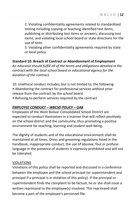2. Violating confidentiality agreements related to standardized testing including copying or teaching identified test items, publishing or distributing test items or answers, discussing test items, and violating local school board or state directions for the use of tests

3. Violating other confidentiality agreements required by state or local policy

#### **Standard 10. Breach of Contract or Abandonment of Employment**

*An educator should fulfill all of the terms and obligations detailed in the contract with the local school board or educational agency for the duration of the contract.*

- 10. Unethical conduct includes, but is not limited to, the following:
- Abandoning the contract for professional services without prior release from the contract by the school board
- Refusing to perform services required by the contract

#### *EMPLOYEE CONDUCT – WBCSD POLICY – GAB*

Employees of the West Bolivar Consolidated School District are expected to conduct themselves in a manner that will reflect positively on the school district and the community, thus promoting a positive environment for teaching, learning and student well-being.

The dignity of students and of the educational environment shall be maintained at all times. Dress and grooming regulations listed in the handbook, inappropriate conduct, the use of abusive, foul or profane language in the presence of students is expressly prohibited and will not be tolerated.

#### VIOLATIONS

Violations of this policy shall be reported and discussed in a conference between the employee and the school principal (or superintendent and principal if a principal is in violation of this policy). If the principal or superintendent finds the complaint to be factual, he or she shall issue a written reprimand to the employee(s) involved. This reprimand shall become a part of the employee's personnel file.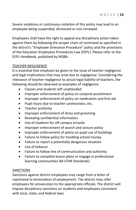Severe violations or continuous violation of this policy may lead to an employee being suspended, dismissed or non-renewed.

Employees shall have the right to appeal any disciplinary action taken against them by following the proper chain of command as specified in the district's "Employee Grievance Procedure" policy and the provisions of the Education Employees Procedures Law (EEPL). Please refer to the EEPL Handbook, published by MSBA.

#### TEACHER NEGLIGENCE

It is essential that emphasis be given to the issue of teacher negligence and legal implications that may arise due to negligence. Considering the relevance of teacher negligence to actual legal liability of teachers, the following should be observed as examples of negligence:

- Classes and students left unattended
- Improper enforcement of policy on corporal punishment
- Improper enforcement of policy on medication and first aid
- Pupil injury due to teacher carelessness, etc.
- Teacher profanity
- Improper enforcement of dress and grooming
- Revealing confidential information
- Use of students for off-campus errands
- Improper enforcement of search and seizure policy
- Improper enforcement of policy on pupil use of buildings
- Failure to follow policy for handling school money
- Failure to report a potentially dangerous situation
- Use of tobacco
- Failure to follow line of communication and authority
- Failure to complete lesson plans or engage in professional learning communities (M-STAR Standards)

## **SANCTIONS**

Sanctions against district employees may range from a letter of reprimand to termination of employment. The district may refer employees for prosecution to the appropriate officials. The district will impose disciplinary sanctions on students and employees consistent with local, state, and federal laws.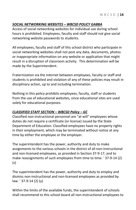#### *SOCIAL NETWORKING WEBSITES – WBCSD POLICY GABBA*

Access of social networking websites for individual use during school hours is prohibited. Employees, faculty and staff should not give social networking website passwords to students.

All employees, faculty and staff of this school district who participate in social networking websites shall not post any data, documents, photos or inappropriate information on any website or application that might result in a disruption of classroom activity. This determination will be made by the Superintendent.

Fraternization via the internet between employees, faculty or staff and students is prohibited and violation of any of these policies may result in disciplinary action, up to and including termination.

Nothing in this policy prohibits employees, faculty, staff or students from the use of educational websites, since educational sites are used solely for educational purposes.

## *CLASSIFIED STAFF SECTION – WBCSD Policy – GC*

Classified non-instructional personnel are "at will" employees whose duties do not require a certificate (or license) issued by the State Department of Education. Classified employees have no property rights in their employment, which may be terminated without notice at any time by either the employee or the employer.

The superintendent has the power, authority and duty to make assignments to the various schools in the district of all non-instructional and non-licensed employees, as provided in Section 37-9-17, and to make reassignments of such employees from time to time. ' 37-9-14 (2) (s)

The superintendent has the power, authority and duty to employ and dismiss non-instructional and non-licensed employees as provided by law. ' 37-9-14 (2) (y)

Within the limits of the available funds, the superintendent of schools shall recommend to this school board all non-instructional employees to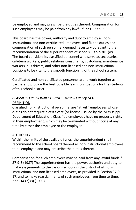be employed and may prescribe the duties thereof. Compensation for such employees may be paid from any lawful funds. ' 37-9-3

This board has the power, authority and duty to employ all noninstructional and non-certificated employees and fix the duties and compensation of such personnel deemed necessary pursuant to the recommendation of the superintendent of schools. ' 37-7-301 (w) The board considers its classified personnel who serve as secretaries, cafeteria workers, public relations consultants, custodians, maintenance workers, bus drivers, and other non-licensed and non-instructional positions to be vital to the smooth functioning of the school system.

Certificated and non-certificated personnel are to work together as partners to provide the best possible learning situations for the students of this school district.

#### *CLASSIFIED PERSONNEL HIRING – WBCSD Policy GCD* DEFINITION

Classified non-instructional personnel are "at will" employees whose duties do not require a certificate (or license) issued by the Mississippi Department of Education. Classified employees have no property rights in their employment, which may be terminated without notice at any time by either the employee or the employer.

#### AUTHORITY

Within the limits of the available funds, the superintendent shall recommend to the school board thereof all non-instructional employees to be employed and may prescribe the duties thereof.

Compensation for such employees may be paid from any lawful funds. ' 37-9-3 (1987) The superintendent has the power, authority and duty to make assignments to the various schools in the district of all noninstructional and non-licensed employees, as provided in Section 37-9- 17, and to make reassignments of such employees from time to time. ' 37-9-14 (2) (s) (1999)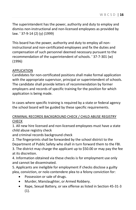The superintendent has the power, authority and duty to employ and dismiss non-instructional and non-licensed employees as provided by law. ' 37-9-14 (2) (y) (1999)

This board has the power, authority and duty to employ all noninstructional and non-certificated employees and fix the duties and compensation of such personnel deemed necessary pursuant to the recommendation of the superintendent of schools. ' 37-7-301 (w) (1996)

#### APPLICATION

Candidates for non-certificated positions shall make formal application with the appropriate supervisor, principal or superintendent of schools. The candidate shall provide letters of recommendation by former employers and records of specific training for the position for which application is being made.

In cases where specific training is required by a state or federal agency the school board will be guided by these specific requirements.

#### CRIMINAL RECORDS BACKGROUND CHECK / CHILD ABUSE REGISTRY CHECK

1. All new hire licensed and non-licensed employees must have a state child abuse registry check

and criminal records background check

2. The fingerprints shall be forwarded by the school district to the Department of Public Safety who shall in turn forward them to the FBI.

3. The district may charge the applicant up to \$50.00 or may pay the fee at its discretion.

4. Information obtained via these checks is for employment use only and cannot be disseminated.

5. Applicants are ineligible for employment if checks disclose a guilty plea, conviction, or nolo contendere plea to a felony conviction for:

- Possession or sale of drugs.
- Murder, Manslaughter, or Armed Robbery.
- Rape, Sexual Battery, or sex offense as listed in Section 45-31-3 (1).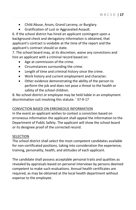- Child Abuse, Arson, Grand Larceny, or Burglary.
- Gratification of Lust or Aggravated Assault.

6. If the school district has hired an applicant contingent upon a background check and derogatory information is obtained, that applicant's contract is voidable at the time of the report and the applicant's contract should so state.

7. The school board may, at its discretion, waive any convictions and hire an applicant with a criminal record based on:

- Age at commission of the crime.
- Circumstances surrounding the crime.
- Length of time and criminal history since the crime.
- Work history and current employment and character.
- Other evidence demonstrating the ability of the person to perform the job and does not pose a threat to the health or safety of the school children.

8. No school district or employee may be held liable in an employment discrimination suit involving this statute. ' 37-9-17

#### CONVICTION BASED ON ERRONEOUS INFORMATION

In the event an applicant wishes to contest a conviction based on erroneous information the applicant shall appeal the information to the Department of Public Safety. The applicant will show the school board or its designee proof of the corrected record.

#### SELECTION

The school district shall select the most competent candidates available for non-certificated positions, taking into consideration the experience, training, personality, health, and attitudes of each applicant.

The candidate shall possess acceptable personal traits and qualities as revealed by appraisals based on personal interviews by persons deemed competent to make such evaluations. Annual health certificates are required, as may be obtained at the local health department without expense to the employee.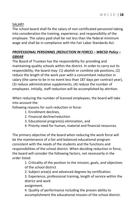#### SALARY

The school board shall fix the salary of non-certificated personnel taking into consideration the training, experience, and responsibility of the employee. The salary paid shall be not less than the federal minimum wage and shall be in compliance with the Fair Labor Standards Act.

## *PROFESSIONAL PERSONNEL (REDUCTION IN FORCE) – WBCSD Policy – GBKAR*

The Board of Trustees has the responsibility for providing and maintaining quality schools within the district. In order to carry out its responsibility, the board may: (1) abolish or combine job positions, (2) reduce the length of the work year with a concomitant reduction in salary (the same to be in no event less than 187 days per contract year), (3) reduce administrative supplements, (4) reduce the number of employees. Initially, staff reduction will be accomplished by attrition.

When reducing the number of licensed employees, the board will take into account the

following reasons for such reduction in force:

- 1. Enrollment declines,
- 2. Financial decline/reduction
- 3. Educational program(s) elimination, and
- 4. Priority need for human, material and financial resources.

The primary objective of the board when reducing the work force will be the maintenance of a fair and balanced educational program consistent with the needs of the students and the functions and responsibilities of the school district. When deciding reduction in force, the board will consider the following factors, not necessarily in the order listed:

> 1. Criticality of the position to the mission, goals, and objectives of the school district

2. Subject area(s) and advanced degrees by certification.

3. Experience, professional training, length of service within the district and work

assignment.

4. Quality of performance including the proven ability to accomplishment the educational mission of the school district.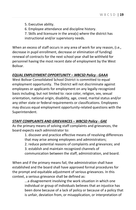- 5. Executive ability.
- 6. Employee attendance and discipline history.
- 7. Skills and licensure in the area(s) where the district has instructional and/or supervisory needs.

When an excess of staff occurs in any area of work for any reason, (i.e., decrease in pupil enrollment, decrease or elimination of funding) renewal of contracts for the next school year shall be withheld for personnel having the most recent date of employment by the West Bolivar.

## *EQUAL EMPLOYMENT OPPORTUNITY – WBCSD Policy - GAAA*

West Bolivar Consolidated School District is committed to equal employment opportunity. The District will not discriminate against employees or applicants for employment on any legally-recognized basis including, but not limited to: race color, religion, sex, sexual orientation, national origin, disability, age, creed, marital status and/or any other state or federal requirements or classifications. Employees may discuss equal employment opportunity-related questions with the Superintendent.

#### *STAFF COMPLAINTS AND GRIEVANCES – WBCSD Policy - GAE*

As the primary means of solving staff complaints and grievances, the board expects each administrator to:

> 1. discover and practice effective means of resolving differences that may arise among employees and administrators;

2. reduce potential reasons of complaints and grievances; and

3. establish and maintain recognized channels of

communication between the staff, administration, and board.

When and if the primary means fail, the administration shall have established and the board shall have approved formal procedures for the prompt and equitable adjustment of serious grievances. In this context, a serious grievance shall be defined as:

> ...a disagreement involving the work situation in which one individual or group of individuals believes that an injustice has been done because of a lack of policy or because of a policy that is unfair, deviation from, or misapplication, or interpretation of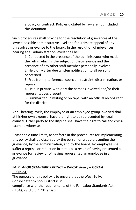a policy or contract. Policies dictated by law are not included in this definition.

Such procedures shall provide for the resolution of grievances at the lowest possible administrative level and for ultimate appeal of any unresolved grievance to the board. In the resolution of grievances, hearing at all administration levels shall be:

> 1. Conducted in the presence of the administrator who made the ruling which is the subject of the grievance and the presence of any other staff member personally involved.

2. Held only after due written notification to all persons concerned.

3. Free from interference, coercion, restraint, discrimination, or reprisal.

4. Held in private, with only the persons involved and/or their representatives present.

5. Summarized in writing or on tape, with an official record kept for the district.

At all hearing levels, the employee or an employee group involved shall at his/her own expense, have the right to be represented by legal counsel. Either party to the dispute shall have the right to call and crossexamine witnesses.

Reasonable time limits, as set forth in the procedures for implementing this policy shall be observed by the person or group presenting the grievance, by the administration, and by the board. No employee shall suffer a reprisal or reduction in status as a result of having presented a grievance for review or of having represented an employee in a grievance.

#### *FAIR LABOR STANDARDS POLICY – WBCSD Policy – GCRAA*  PURPOSE

The purpose of this policy is to ensure that the West Bolivar Consolidated School District is in compliance with the requirements of the Fair Labor Standards Act (FLSA), 29 U.S.C. ' 201 *et seq*.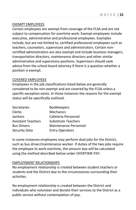#### EXEMPT EMPLOYEES

Certain employees are exempt from coverage of the FLSA and are not subject to compensation for overtime work. Exempt employees include executive, administrative and professional employees. Examples include, but are not limited to, certified professional employees such as teachers, counselors, supervisors and administrators. Certain noncertified administrators are also exempt and include business managers, transportation directors, maintenance directors and other similar administrative and supervisory positions. Supervisors should seek advice from the school board attorney if there is a question whether a position is exempt.

#### COVERED EMPLOYEES

Employees in the job classifications listed below are generally considered to be non-exempt and are covered by the FLSA unless a specific exception exists. In those instances the reasons for the exempt status will be specifically outlined.

| Secretaries               | <b>Bookkeepers</b>         |
|---------------------------|----------------------------|
| Clerks                    | Mechanics                  |
| Janitors                  | Cafeteria Personnel        |
| <b>Assistant Teachers</b> | <b>Substitute Teachers</b> |
| <b>Bus Drivers</b>        | Maintenance Personnel      |
| <b>Security Data</b>      | <b>Entry Operators</b>     |

In some instances employees may perform dual jobs for the District, such as bus driver/maintenance worker. If duties of the two jobs require the employee to work overtime, the amount due will be calculated using the method described below under OVERTIME PAY.

#### EMPLOYMENT RELATIONSHIPS

No employment relationship is created between student teachers or students and the District due to the circumstances surrounding their activities.

No employment relationship is created between the District and individuals who volunteer and donate their services to the District as a public service without contemplation of pay.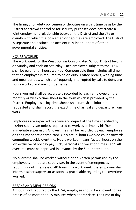The hiring of off-duty policemen or deputies on a part time basis by the District for crowd control or for security purposes does not create a joint employment relationship between the District and the city or county with which the policemen or deputies are employed. The District is separate and distinct and acts entirely independent of other governmental entities.

#### HOURS WORKED

The work week for the West Bolivar Consolidated School District begins on Sunday and ends on Saturday. Each employee subject to the FLSA shall be paid for all hours worked. Compensable time includes all time that an employee is required to be on duty. Coffee breaks, waiting time and meal periods, which are frequently interrupted by calls to duty, are hours worked and are compensable.

Hours worked shall be accurately recorded by each employee on the monthly or weekly time sheet in the form which is provided by the District. Employees using time sheets shall furnish all information requested and shall record the exact time of arrival and departure from work.

Employees are expected to arrive and depart at the time specified by his/her supervisor unless requested to work overtime by his/her immediate supervisor. All overtime shall be recorded by each employee on the time sheet or time card. Only actual hours worked count towards computing weekly overtime. Hours worked means "actual hours on the job exclusive of holiday pay, sick, personal and vacation time used". All overtime must be approved in advance by the Superintendent.

No overtime shall be worked without prior written permission by the employee's immediate supervisor. In the event of emergencies requiring work in excess of 40 hours in a work week, the employee shall inform his/her supervisor as soon as practicable regarding the overtime worked.

#### BREAKS AND MEAL PERIODS

Although not required by the FLSA, employee should be allowed coffee breaks of no more than 15 minutes when appropriate. The time of day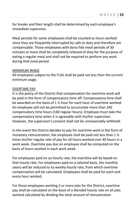for breaks and their length shall be determined by each employee's immediate supervisor.

Meal periods for some employees shall be counted as hours worked since they are frequently interrupted by calls to duty and therefore are compensable. Those employees with bona fide meal periods of 30 minutes or more shall be completely relieved of duty for the purpose of eating a regular meal and shall not be required to perform any work during that meal period.

#### MINIMUM WAGE

All employees subject to the FLSA shall be paid not less than the current minimum wage.

#### OVERTIME PAY

It is the policy of the District that compensation for overtime work will be paid in the form of compensatory time off. Compensatory time shall be awarded on the basis of 1 ½ hour for each hour of overtime worked. An employee will not be permitted to accumulate more than 240 compensatory time hours (160 regular hours). Employee must take the compensatory time when it is agreeable with his/her supervisor. However, the supervisor's consent shall not be unreasonably withheld.

In the event the District decides to pay for overtime work in the form of monetary remuneration, the employee shall be paid not less than  $1\frac{1}{2}$ times his/her regular rate of pay for all hours worked over 40 hours in a work week. Overtime pay due an employee shall be computed on the basis of hours worked in each work week.

For employees paid on an hourly rate, the overtime will be based on that hourly rate. For employees paid on a salaried basis, the monthly salary will be reduced to its weekly hourly rate, from which overtime compensation will be calculated. Employees shall be paid for each and every hour worked.

For those employees working 2 or more jobs for the District, overtime pay shall be calculated on the basis of a blended hourly rate on all jobs worked calculated by dividing the total amount of remuneration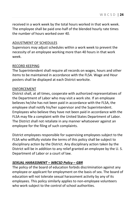received in a work week by the total hours worked in that work week. The employee shall be paid one-half of the blended hourly rate times the number of hours worked over 40.

#### ADJUSTMENT OF SCHEDULES

Supervisors may adjust schedules within a work week to prevent the necessity of an employee working more than 40 hours in that work week.

#### RECORD KEEPING

The Superintendent shall require all records on wages, hours and other items to be maintained in accordance with the FLSA. Wage and Hour posters shall be displayed at each District worksite.

#### ENFORCEMENT

District shall, at all times, cooperate with authorized representatives of the Department of Labor who may visit a work site. If an employee believes he/she has not been paid in accordance with the FLSA, the employee shall notify his/her supervisor and the Superintendent. Employees who believe they have not been paid in accordance with the FLSA may file a complaint with the United States Department of Labor. The District shall not retaliate in any manner whatsoever against an employee for the filing of such complaints.

District employees responsible for supervising employees subject to the FLSA who willfully violate the terms of this policy shall be subject to disciplinary action by the District. Any disciplinary action taken by the District will be in addition to any relief granted an employee by the U. S. Department of Labor or a court of law.

#### *SEXUAL HARASSMENT – WBCSD Policy – GBR*

The policy of the board of education forbids discrimination against any employee or applicant for employment on the basis of sex. The board of education will not tolerate sexual harassment activity by any of its employees. This policy similarly applies to non-employee volunteers who work subject to the control of school authorities.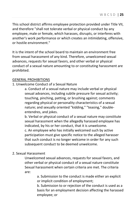This school district affirms employee protection provided under Title VII, and therefore "shall not tolerate verbal or physical conduct by any employee, male or female, which harasses, disrupts, or interferes with another's work performance or which creates an intimidating, offensive, or hostile environment."

It is the intent of the school board to maintain an environment free from sexual harassment of any kind. Therefore, unwelcomed sexual advances, requests for sexual favors, and other verbal or physical conduct of a sexual nature amounting to or constituting harassment are prohibited.

#### GENERAL PROHIBITIONS

## 1. Unwelcome Conduct of a Sexual Nature

a. Conduct of a sexual nature may include verbal or physical sexual advances, including subtle pressure for sexual activity; touching, pinching, patting, or brushing against; comments regarding physical or personality characteristics of a sexual nature; and sexually oriented "kidding," "teasing," doubleentendres, and jokes.

b. Verbal or physical conduct of a sexual nature may constitute sexual harassment when the allegedly harassed employee has indicated, by his or her conduct, that it is unwelcome.

c. An employee who has initially welcomed such by active participation must give specific notice to the alleged harasser that such conduct is no longer welcome in order for any such subsequent conduct to be deemed unwelcome.

#### 2. Sexual Harassment

Unwelcomed sexual advances, requests for sexual favors, and other verbal or physical conduct of a sexual nature constitute Sexual harassment when certain criteria are met. The criteria are:

> a. Submission to the conduct is made either an explicit or implicit condition of employment;

b. Submission to or rejection of the conduct is used as a basis for an employment decision affecting the harassed employee; or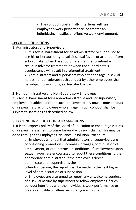c. The conduct substantially interferes with an employee's work performance, or creates an intimidating, hostile, or offensive work environment.

#### SPECIFIC PROHIBITIONS

#### 1. Administrators and Supervisors

1. It is sexual harassment for an administrator or supervisor to use his or her authority to solicit sexual favors or attention from subordinates when the subordinate's failure to submit will result in adverse treatment, or when the subordinate's acquiescence will result in preferential treatment. 2. Administrators and supervisors who either engage in sexual harassment or tolerate such conduct by other employees shall

be subject to sanctions, as described below.

#### 2. Non-administrative and Non-Supervisory Employees

It is sexual harassment for a non-administrative and nonsupervisory employee to subject another such employee to any unwelcome conduct of a sexual nature. Employees who engage in such conduct shall be subject to sanctions as described below.

#### REPORTING, INVESTIGATION, AND SANCTIONS

1. It is the express policy of the Board of Education to encourage victims of a sexual harassment to come forward with such claims. This may be done through the Employee Grievance Resolution Procedure.

> a. Employees who feel that administrators or supervisors are conditioning promotions, increases in wages, continuation of employment, or other terms or conditions of employment upon sexual favors, are encouraged to report these conditions to the appropriate administrator. If the employee's direct administrator or supervisor is the

offending person, the report shall be made to the next higher level of administration or supervision.

b. Employees are also urged to report any unwelcome conduct of a sexual nature by supervisors or fellow employees if such conduct interferes with the individual's work performance or creates a hostile or offensive working environment.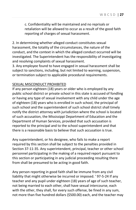c. Confidentiality will be maintained and no reprisals or retaliation will be allowed to occur as a result of the good faith reporting of charges of sexual harassment.

2. In determining whether alleged conduct constitutes sexual harassment, the totality of the circumstances, the nature of the conduct, and the context in which the alleged conduct occurred will be investigated. The Superintendent has the responsibility of investigating and resolving complaints of sexual harassment.

3. Any employee found to have engaged in sexual harassment shall be subject to sanctions, including, but not limited to warning, suspension, or termination subject to applicable procedural requirements.

#### SEXUAL MISCONDUCT PROHIBITED

If any person eighteen (18) years or older who is employed by any public school district or private school in this state is accused of fondling or having any type of sexual involvement with any child under the age of eighteen (18) years who is enrolled in such school, the principal of such school and the superintendent of such school district shall timely notify the district attorney with jurisdiction where the school is located of such accusation, the Mississippi Department of Education and the Department of Human Services, provided that such accusation is reported to the principal and to the school superintendent and that there is a reasonable basis to believe that such accusation is true.

Any superintendent, or his designee, who fails to make a report required by this section shall be subject to the penalties provided in Section 37-11-35. Any superintendent, principal, teacher or other school personnel participating in the making of a required report pursuant to this section or participating in any judicial proceeding resulting there from shall be presumed to be acting in good faith.

Any person reporting in good faith shall be immune from any civil liability that might otherwise be incurred or imposed. ' 97-5-24 If any teacher and any pupil under eighteen (18) years of age of such teacher, not being married to each other, shall have sexual intercourse, each with the other, they shall, for every such offense, be fined in any sum, not more than five hundred dollars (\$500.00) each, and the teacher may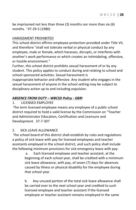be imprisoned not less than three (3) months nor more than six (6) months. ' 97-29-3 (1980)

#### HARASSMENT PROHIBITED

This school district affirms employee protection provided under Title VII, and therefore "shall not tolerate verbal or physical conduct by any employee, male or female, which harasses, disrupts, or interferes with another's work performance or which creates an intimidating, offensive, or hostile environment."

Further, this school district prohibits sexual harassment of or by any student. This policy applies to conduct during and relating to school and school-sponsored activities. Sexual harassment is

inappropriate behavior and offensive. Any student who engages in the sexual harassment of anyone in the school setting may be subject to disciplinary action up to and including expulsion.

#### *ABSENCE FROM DUTY – WBCSD Policy - GBRI*

#### 1. LICENSED EMPLOYEE

The term licensed employee means any employee of a public school district required to hold a valid license by the Commission on "Teacher and Administrator Education, Certification and Licensure and Development. 37-7-307

#### 2. SICK LEAVE ALLOWANCE

The school board of this district shall establish by rules and regulations a policy of sick leave with pay for licensed employees and teacher assistants employed in the school district, and such policy shall include the following minimum provisions for sick emergency leave with pay:

> a. Each licensed employee and teacher assistant, at the beginning of each school year, shall be credited with a minimum sick leave allowance, with pay, of seven (7) days for absences caused by illness or physical disability for the employee during that school year.

b. Any unused portion of the total sick leave allowance shall be carried over to the next school year and credited to such licensed employee and teacher assistant if the licensed employee or teacher assistant remains employed in the same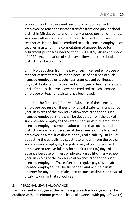school district. In the event any public school licensed employee or teacher assistant transfer from one public school district in Mississippi to another, any unused portion of the total sick leave allowance credited to such licensed employee or teacher assistant shall be credited to such licensed employee or teacher assistant in the computation of unused leave for retirement purposes under Section 25-11-109, Mississippi Code of 1972. Accumulation of sick leave allowed in the school district shall be unlimited.

c. No deduction from the pay of such licensed employee or teacher assistant may be made because of absence of such licensed employee or teacher assistant caused by illness or physical disability of the licensed employee or teacher assistant until after all sick leave allowance credited to such licensed employee or teacher assistant has been used.

d. For the first ten (10) days of absence of the licensed employee because of illness or physical disability, in any school year, in excess of the sick leave allowance credited to such licensed employee, there shall be deducted from the pay of such licensed employee the established substitute amount of licensed employee compensation paid in that local school district, necessitated because of the absence of the licensed employee as a result of illness or physical disability. In lieu of deducting the established substitute amount from the pay of such licensed employee, the policy may allow the licensed employee to receive full pay for the first ten (10) days of absence because of illness or physical disability, in any school year, in excess of the sick leave allowance credited to such licensed employee. Thereafter, the regular pay of such absent licensed employee shall be suspended and withheld in its entirety for any period of absence because of illness or physical disability during that school year.

#### 3. PERSONAL LEAVE ALLOWANCE

Each licensed employee at the beginning of each school year shall be credited with a minimum personal leave allowance, with pay, of two (2)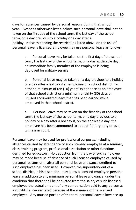days for absences caused by personal reasons during that school year. Except as otherwise listed below, such personal leave shall not be taken on the first day of the school term, the last day of the school term, on a day previous to a holiday or a day after a holiday. Notwithstanding the restrictions listed above on the use of personal leave, a licensed employee may use personal leave as follows:

> a. Personal leave may be taken on the first day of the school term, the last day of the school term, on a day applicable day, an immediate family member of the employee is being deployed for military service.

b. Personal leave may be taken on a day previous to a holiday or a day after a holiday if an employee of a school district has either a minimum of ten (10) years' experience as an employee of that school district or a minimum of thirty (30) days of unused accumulated leave that has been earned while employed in that school district.

c. Personal leave may be taken on the first day of the school term, the last day of the school term, on a day previous to a holiday or a day after a holiday if, on the applicable day, the employee has been summoned to appear for jury duty or as a witness in court.

Personal leave may be used for professional purposes, including absences caused by attendance of such licensed employee at a seminar, class, training program, professional association or other functions designed for educators. No deduction from the pay of such employee may be made because of absence of such licensed employee caused by personal reasons until after all personal leave allowance credited to such employee has been used. However, the superintendent of a school district, in his discretion, may allow a licensed employee personal leave in addition to any minimum personal leave allowance, under the condition that there shall be deducted from the salary of such licensed employee the actual amount of any compensation paid to any person as a substitute, necessitated because of the absence of the licensed employee. Any unused portion of the total personal leave allowance up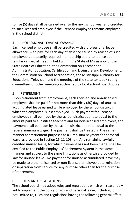to five (5) days shall be carried over to the next school year and credited to such licensed employee if the licensed employee remains employed in the school district.

## 4. PROFESSIONAL LEAVE ALLOWANCE

Each licensed employee shall be credited with a professional leave allowance, with pay, for each day of absence caused by reason of such employee's statutorily required membership and attendance at a regular or special meeting held within the State of Mississippi of the State Board of Education, the Commission on Teacher and Administrator Education, Certification and Licensure and Development, the Commission on School Accreditation, the Mississippi Authority for Educational Television and the meetings of the state textbook rating committees or other meetings authorized by local school board policy.

#### 5. RETIREMENT

Upon retirement from employment, each licensed and non-licensed employee shall be paid for not more than thirty (30) days of unused accumulated leave earned while employed by the school district in which the employee is last employed. Such payment for licensed employees shall be made by the school district at a rate equal to the amount paid to substitute teachers and for non-licensed employees, the payment shall be made by the school district at a rate equal to the federal minimum wage. The payment shall be treated in the same manner for retirement purposes as a lump sum payment for personal leave as provided in Section 25-11-103 (e). Any remaining lawfully credited unused leave, for which payment has not been made, shall be certified to the Public Employees' Retirement System in the same manner and subject to the same limitations as otherwise provided by law for unused leave. No payment for unused accumulated leave may be made to either a licensed or non-licensed employee at termination or separation from service for any purpose other than for the purpose of retirement.

## 6. RULES AND REGULATIONS

The school board may adopt rules and regulations which will reasonably aid to implement the policy of sick and personal leave, including, but not limited to, rules and regulations having the following general effect: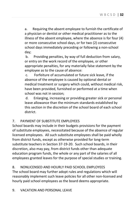a. Requiring the absent employee to furnish the certificate of a physician or dentist or other medical practitioner as to the illness of the absent employee, where the absence is for four (4) or more consecutive school days, or for two (2) consecutive school days immediately preceding or following a non-school day;

b. Providing penalties, by way of full deduction from salary, or entry on the work record of the employee, or other appropriate penalties, for any materially false statement by the employee as to the cause of absence:

c. Forfeiture of accumulated or future sick leave, if the absence of the employee is caused by optional dental or medical treatment or surgery which could, without medical risk, have been provided, furnished or performed at a time when school was not in session;

d. Enlarging, increasing or providing greater sick or personal leave allowance than the minimum standards established by this section in the discretion of the school board of each school district.

## 7. PAYMENT OF SUBSTITUTE EMPLOYEES

School boards may include in their budgets provisions for the payment of substitute employees, necessitated because of the absence of regular licensed employees. All such substitute employees shall be paid wholly from district funds, except as otherwise provided for long-term substitute teachers in Section 37-19-20. Such school boards, in their discretion, also may pay, from district funds other than adequate education program funds, the whole or any part of the salaries of all employees granted leaves for the purpose of special studies or training.

## 8. NONLICENSED AND HOURLY PAID SCHOOL EMPLOYEES

The school board may further adopt rules and regulations which will reasonably implement such leave policies for all other non-licensed and hourly paid school employees as the board deems appropriate.

## 9. VACATION AND PERSONAL LEAVE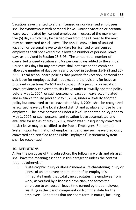Vacation leave granted to either licensed or non-licensed employees shall be synonymous with personal leave. Unused vacation or personal leave accumulated by licensed employees in excess of the maximum five (5) days which may be carried over from one (1) year to the next may be converted to sick leave. The annual conversion of unused vacation or personal leave to sick days for licensed or unlicensed employees shall not exceed the allowable number of personal leave days as provided in Section 25-3-93. The annual total number of converted unused vacation and/or personal days added to the annual unused sick days for any employee shall not exceed the combined allowable number of days per year provided in Sections 25-3-93 and 25- 3-95. Local school board policies that provide for vacation, personal and sick leave for employees shall not exceed the provisions for leave as provided in Sections 25-3-93 and 25-3-95. Any personal or vacation leave previously converted to sick leave under a lawfully adopted policy before May 1, 2004, or such personal or vacation leave accumulated and available for use prior to May 1, 2004, under a lawfully adopted policy but converted to sick leave after May 1, 2004, shall be recognized as accrued leave by the local school district and available for use by the employee. The leave converted under a lawfully adopted policy prior to May 1, 2004, or such personal and vacation leave accumulated and available for use as of May 1, 2004, which was subsequently converted to sick leave may be certified to the Public Employees' Retirement System upon termination of employment and any such leave previously converted and certified to the Public Employees' Retirement System shall be recognized.

## 10. DEFINITIONS

A. For the purposes of this subsection, the following words and phrases shall have the meaning ascribed in this paragraph unless the context requires otherwise:

i. "Catastrophic injury or illness" means a life-threatening injury or illness of an employee or a member of an employee's immediate family that totally incapacitates the employee from work, as verified by a licensed physician, and forces the employee to exhaust all leave time earned by that employee, resulting in the loss of compensation from the state for the employee. Conditions that are short-term in nature, including,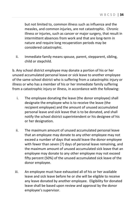but not limited to, common illness such as influenza and the measles, and common injuries, are not catastrophic. Chronic illness or injuries, such as cancer or major surgery, that result in intermittent absences from work and that are long-term in nature and require long recuperation periods may be considered catastrophic.

ii. Immediate family means spouse, parent, stepparent, sibling, child or stepchild.

b. Any school district employee may donate a portion of his or her unused accumulated personal leave or sick leave to another employee of the same school district who is suffering from a catastrophic injury or illness or who has a member of his or her immediate family suffering from a catastrophic injury or illness, in accordance with the following:

- i. The employee donating the leave (the donor employee) shall designate the employee who is to receive the leave (the recipient employee) and the amount of unused accumulated personal leave and sick leave that is to be donated, and shall notify the school district superintendent or his designee of his or her designation.
- ii. The maximum amount of unused accumulated personal leave that an employee may donate to any other employee may not exceed a number of days that would leave the donor employee with fewer than seven (7) days of personal leave remaining, and the maximum amount of unused accumulated sick leave that an employee may donate to any other employee may not exceed fifty percent (50%) of the unused accumulated sick leave of the donor employee.
- iii. An employee must have exhausted all of his or her available leave and sick leave before he or she will be eligible to receive any leave donated by another employee. Eligibility for donated leave shall be based upon review and approval by the donor employee's supervisor.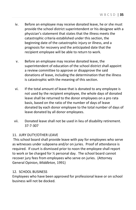- iv. Before an employee may receive donated leave, he or she must provide the school district superintendent or his designee with a physician's statement that states that the illness meets the catastrophic criteria established under this section, the beginning date of the catastrophic injury or illness, and a prognosis for recovery and the anticipated date that the recipient employee will be able to return to work.
- v. Before an employee may receive donated leave, the superintendent of education of the school district shall appoint a review committee to approve or disapprove the said donations of leave, including the determination that the illness is catastrophic with the meaning of this section.
- vi. If the total amount of leave that is donated to any employee is not used by the recipient employee, the whole days of donated leave shall be returned to the donor employees on a pro rata basis, based on the ratio of the number of days of leave donated by each donor employee to the total number of days of leave donated by all donor employees.
- vii. Donated leave shall not be used in lieu of disability retirement. 37-7-307

## 11. JURY DUTY/OTHER LEAVE

This school board shall provide leave with pay for employees who serve as witnesses under subpoena and/or on juries. Proof of attendance is required. If court is dismissed prior to noon the employee shall report to work or be charged for ½ personal day. The school board cannot recover jury fees from employees who serve on juries. (Attorney General Opinion, *Middleton,* 1991)

## 12. SCHOOL BUSINESS

Employees who have been approved for professional leave or on school business will not be docked.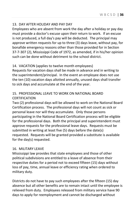#### 13. DAY AFTER HOLIDAY AND PAY DAY

Employees who are absent from work the day after a holiday or pay day must provide a doctor's excuse upon their return to work. If an excuse is not produced, a full day's pay will be deducted. The principal may approve written requests for up to three (3) days leave, without pay, for bonafide emergency reasons other than those provided for in Section 37-7-307 (2), Mississippi Code of 1972, as amended, if in his/her opinion such can be done without detriment to the school district.

#### 14. VACATION (applies to twelve month employees)

Requests for vacation days shall be made in advance and in writing to the superintendent/principal. In the event an employee does not use the ten (10) vacation days allotted annually, unused days shall transfer to sick days and accumulate at the end of the year.

## 15. PROFESSIONAL LEAVE TO WORK ON NATIONAL BOARD **CERTIFICATION**

Two (2) professional days will be allowed to work on the National Board Certification process. The professional days will not count as sick or personal leave nor will they accumulate. Only those persons participating in the National Board Certification process will be eligible for the professional days. Both the principal and superintendent must approve requests for the professional leave days. Requests must be submitted in writing at least five (5) days before the date(s) requested. Requests will be granted provided a substitute is available for the day(s) requested.

## 16. MILITARY LEAVE

Mississippi law provides that state employees and those of other political subdivisions are entitled to a leave of absence from their respective duties for a period not to exceed fifteen (15) days without loss of pay, time, annual leave or efficiency rating when ordered to military duty.

Districts do not have to pay such employees after the fifteen (15) day absence but all other benefits are to remain intact until the employee is relieved from duty. Employees released from military service have 90 days to apply for reemployment and cannot be discharged without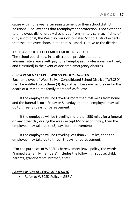cause within one year after reinstatement to their school district positions. The law adds that reemployment protection is not extended to employees dishonorably discharged from military service. If time of duty is optional, the West Bolivar Consolidated School District expects that the employee choose time that is least disruptive to the district.

#### 17. LEAVE DUE TO DECLARED EMERGENCY CLOSURES

The school board may, in its discretion, provide additional administrative leave with pay for all employees (professional, certified, and classified) in the event of declared emergency closures.

#### *BEREAVEMENT LEAVE – WBCSD POLICY - GBRIAD*

Each employee of West Bolivar Consolidated School District ("WBCSD") shall be entitled up to three (3) days of paid bereavement leave for the death of a immediate family member\* as follows:

If the employee will be traveling more than 250 miles from home and the funeral is on a Friday or Saturday, then the employee may take up to three (3) days for bereavement;

If the employee will be traveling more than 250 miles for a funeral on any other day during the week except Monday or Friday, then the employee may take up to (3) days for bereavement;

If the employee will be traveling less than 250 miles, then the employee may take up to three (3) days for bereavement.

\*For the purposes of WBCSD's bereavement leave policy, the words "immediate family members" includes the following: spouse, child, parents, grandparents, brother, sister.

#### *FAMILY MEDICAL LEAVE ACT (FMLA)*

Refer to WBCSD Policy - GBRIA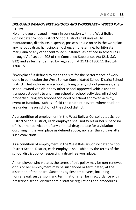#### *DRUG AND WEAPON FREE SCHOOLS AND WORKPLACE – WBCSD Policy – GBRL*

No employee engaged in work in connection with the West Bolivar Consolidated School District School District shall unlawfully manufacture, distribute, dispense, possess or use on or in the workplace any narcotic drug, hallucinogenic drug, amphetamine, barbiturate, marijuana or any other controlled substance, as defined in schedules I through V of section 202 of the Controlled Substances Act (21U.S.C. 812) and as further defined by regulation at 21 CFR 1300.11 through 1300.15.

"Workplace" is defined to mean the site for the performance of work done in connection the West Bolivar Consolidated School District School District. That includes any school building or any school premises; any school-owned vehicle or any other school approved vehicle used to transport students to and from school or school activities; off school property during any school-sponsored or school approved activity, event or function, such as a field trip or athletic event, where students are under the jurisdiction of the school district.

As a condition of employment in the West Bolivar Consolidated School District School District, each employee shall notify his or her supervisor of his or her conviction of any criminal drug statute for a violation occurring in the workplace as defined above, no later than 5 days after such conviction.

As a condition of employment in the West Bolivar Consolidated School District School District, each employee shall abide by the terms of the school district policy respecting a drug-free workplace.

An employee who violates the terms of this policy may be non-renewed or his or her employment may be suspended or terminated, at the discretion of the board. Sanctions against employees, including nonrenewal, suspension, and termination shall be in accordance with prescribed school district administrative regulations and procedures.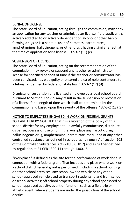#### DENIAL OF LICENSE

The State Board of Education, acting through the commission, may deny an application for any teacher or administrator license if the applicant is actively addicted to or actively dependent on alcohol or other habitforming drugs or is a habitual user of narcotics, barbiturates, amphetamines, hallucinogens, or other drugs having a similar effect, at the time of application for a license. ' 37-3-2 (11) (c)

#### SUSPENSION OF LICENSE

The State Board of Education, acting on the recommendation of the commission, may revoke or suspend any teacher or administrator license for specified periods of time if the teacher or administrator has been convicted, has pled guilty or entered a plea of nolo contendere to a felony, as defined by federal or state law. ' 37-3-2 (12) (d)

Dismissal or suspension of a licensed employee by a local school board pursuant to Section 37-9-59 may result in the suspension or revocation of a license for a length of time which shall be determined by the commission and based upon the severity of the offense. ' 37-3-2 (13) (a)

NOTICE TO EMPLOYEES ENGAGED IN WORK ON FEDERAL GRANTS YOU ARE HEREBY NOTIFIED that it is a violation of the policy of this school district for any employee to unlawfully manufacture, distribute, dispense, possess or use on or in the workplace any narcotic drug, hallucinogenic drug, amphetamine, barbiturate, marijuana or any other controlled substance, as defined in schedules I through V of section 202 of the Controlled Substances Act (21U.S.C. 812) and as further defined by regulation at 21 CFR 1300.11 through 1300.15.

"Workplace" is defined as the site for the performance of work done in connection with a federal grant. That includes any place where work on a school district federal grant is performed, including a school building or other school premises; any school-owned vehicle or any other school-approved vehicle used to transport students to and from school or school activities; off school property during any school sponsored or school-approved activity, event or function, such as a field trip or athletic event, where students are under the jurisdiction of the school district.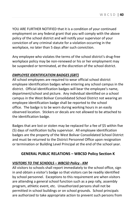YOU ARE FURTHER NOTIFIED that it is a condition of your continued employment on any federal grant that you will comply with the above policy of the school district and will notify your supervisor of your conviction of any criminal statute for a violation occurring in the workplace, no later than 5 days after such conviction.

Any employee who violates the terms of the school district's drug-free workplace policy may be non-renewed or his or her employment may be suspended or terminated, at the discretion of the school district.

#### *EMPLOYEE IDENTIFICATION BADGES (GBT)*

All school employees are required to wear official school district employee identification badges when entering any school campus in the district. Official identification badges will bear the employee's name, department/school and picture. Any individual identified on a school campus in the West Bolivar Consolidated School District not wearing an employee identification badge shall be reported to the school office. The badge is to be worn during working hours in an easily observed location. Stickers or decals are not allowed to be attached to the identification badge.

Badges that are lost or stolen may be replaced for a fee of \$5 within five (5) days of notification to/by supervisor. All employee identification badges are the property of the West Bolivar Consolidated School District and must be returned to the District Personnel Office upon resignation or termination or Building Level Principal at the end of the school year.

## **GENERAL PUBLIC RELATIONS – WBCSD Policy Section K**

## *VISITORS TO THE SCHOOLS – WBCSD Policy - KM*

All visitors to schools shall report immediately to the school office, sign in and obtain a visitor's badge so that visitors can be readily identified by school personnel. Exceptions to this requirement are when visitors are attending a general school function such as a pep rally, assembly program, athletic event, etc. Unauthorized persons shall not be permitted in school buildings or on school grounds. School principals are authorized to take appropriate action to prevent such persons from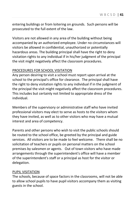entering buildings or from loitering on grounds. Such persons will be prosecuted to the full extent of the law.

Visitors are not allowed in any area of the building without being accompanied by an authorized employee. Under no circumstances will visitors be allowed in confidential, unauthorized or potentially hazardous areas. The building principal shall have the right to deny visitation rights to any individual if in his/her judgment of the principal the visit might negatively affect the classroom procedures.

#### PROCEDURES FOR SCHOOL VISITATION

Any person desiring to visit a school must report upon arrival at the school to the principal's office for clearance. The principal shall have the right to deny visitation rights to any individual if in the judgment of the principal the visit might negatively affect the classroom procedures. This includes but certainly not limited to appropriate dress of the individual.

Members of the supervisory or administrative staff who have invited professional visitors may elect to serve as hosts to the visitors whom they have invited, as well as to other visitors who may have a mutual interest and area of competency.

Parents and other persons who wish to visit the public schools should be routed to the school office, be greeted by the principal and guide services. All visitors are to be made to feel welcome. There shall be no solicitation of teachers or pupils on personal matters on the school premises by salesmen or agents. Out of town visitors who have made arrangements through the superintendent's office will have a member of the superintendent's staff or a principal as host for the visitor or delegation.

#### PUPIL VISITATION

The schools, because of space factors in the classrooms, will not be able to allow school pupils to have pupil visitors accompany them as visiting guests in the school.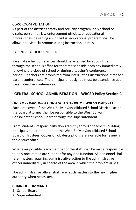#### CLASSROOM VISITATION

As part of the district's safety and security program, only school or district personnel, law enforcement officials, or educational professionals designing an individual educational program shall be allowed to visit classrooms during instructional times.

#### PARENT-TEACHER CONFERENCES

Parent-Teacher conferences should be arranged by appointment through the school's office for the time set aside each day immediately following the close of school or during a teacher's conference period. Teachers are prohibited from interrupting instructional time for parent conferences. The principal or designee must be attendance at all parent-teacher conferences.

## **GENERAL SCHOOL ADMINISTRATION – WBCSD Policy Section C**

#### *LINE OF COMMUNICATION AND AUTHORITY – WBCSD Policy - CC*

Each employee of the West Bolivar Consolidated School District except the board attorney shall be responsible to the West Bolivar Consolidated School Board through the superintendent.

From students, responsibility flows directly through teachers, building principals, superintendent, to the West Bolivar Consolidated School Board of Trustees. Copies of job descriptions are available for review at the district office.

Whenever possible, each member of the staff shall be made responsible to only one immediate superior for any one function. All personnel shall refer matters requiring administrative action to the administrative officer immediately in charge of the area in which the problem arises.

The administrative officer shall refer such matters to the next higher authority when necessary.

#### **CHAIN OF COMMAND**

- 1) School Board
- 2) Superintendent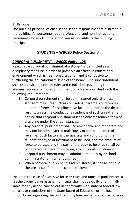#### 3) Principal

The building principal of each school is the responsible administrator in the building. All personnel, both professional and non-instructional personnel who work in the school are responsible to the Building Principal.

## **STUDENTS – WBCSD Policy Section J**

#### *CORPORAL PUNISHMENT – WBCSD Policy - JDB*

Reasonable corporal punishment of a student is permitted as a disciplinary measure in order to preserve an effective educational environment which is free from disruption and is conducive to furthering the educational mission of the board. The superintendent shall establish and enforce rules and regulations governing the administration of corporal punishment which are consistent with the following requirements:

- 1. Corporal punishment shall be administered only after less stringent measures such as counseling, parental conferences and other forms of discipline have failed to produce the desired results, unless the conduct of a student is of such an extreme nature that corporal punishment is the only reasonable form of discipline under the circumstances.
- 2. Any corporal punishment shall be reasonable and moderate and may not be administered maliciously or for the purpose of revenge. Such factors as the size, age and condition of the student, the type of instrument to be used, and the amount of force to be used and the part of the body to be struck shall be considered before administering any corporal punishment.
- 3. Corporal punishment may be administered only by a school administrator or his/her designee
- 4. When corporal punishment is administered, it shall be done in the presence of another school employee.

Except in the case of excessive force or cruel and unusual punishment, a teacher, principal or assistant principal shall not be civilly or criminally liable for any action carried out in conformity with state or federal law or rules or regulations of the State Board of Education or the local school board regarding the control, discipline, suspension and expulsion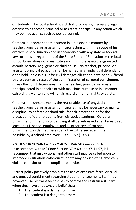of students. The local school board shall provide any necessary legal defense to a teacher, principal or assistant principal in any action which may be filed against such school personnel.

Corporal punishment administered in a reasonable manner by a teacher, principal or assistant principal acting within the scope of his employment or function and in accordance with any state or federal laws or rules or regulations of the State Board of Education or the local school board does not constitute assault, simple assault, aggravated assault, battery, negligence or child abuse. No teacher, principal or assistant principal so acting shall be named as an individual defendant or be held liable in a suit for civil damages alleged to have been suffered by a student as a result of the administration of corporal punishment, unless the court determines that the teacher, principal or assistant principal acted in bad faith or with malicious purpose or in a manner exhibiting a wanton and willful disregard of human rights or safety.

Corporal punishment means the reasonable use of physical contact by a teacher, principal or assistant principal as may be necessary to maintain discipline, to enforce a school rule, for self-protection or for the protection of other students from disruptive students. Corporal punishment in the form of paddling shall be witnessed at all times by at least one (1) school employee, and all other acts of corporal punishment, as defined herein, shall be witnessed at all times, if possible, by a school employee. ' 37-11-57 (1997)

#### *STUDENT RESTRAINT & SECULSION – WBCSD Policy - JCBA*

In accordance with MS Code Section 37-9-69 and 37-11-57, it is recognized that instructional and other staff may be called upon to intercede in situations wherein students may be displaying physically violent behavior or non-compliant behavior.

District policy positively prohibits the use of excessive force, or cruel and unusual punishment regarding student management. Staff may, however, use restraint techniques to control and restrain a student when they have a reasonable belief that:

- 1 The student is a danger to himself.
- 2 The student is a danger to others.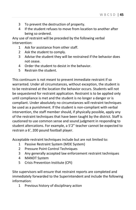- 3 To prevent the destruction of property.
- 4 If the student refuses to move from location to another after being so ordered.

Any use of restraint will be preceded by the following verbal intervention:

- 1 Ask for assistance from other staff.
- 2 Ask the student to comply.
- 3 Advise the student they will be restrained if the behavior does not cease.
- 4 Order the student to desist in the behavior.
- 5 Restrain the student.

This continuum is not meant to prevent immediate restraint if so warranted. Under all circumstances, without exception, the student is to be restrained at the location the behavior occurs. Students will not be sequestered for restraint application. Restraint is to be applied only until compliance is met and the student is no longer a danger or is compliant. Under absolutely no circumstances will restraint techniques be used as a punishment. If the student is non-compliant with verbal intervention, the staff member should, if physically possible, apply any of the restraint techniques that have been taught by the district. Staff is cautioned to use common sense and sound judgment in responding to student altercations. For example, a 5'2" teacher cannot be expected to restrain a 6', 200 pound football player.

Acceptable restraint techniques include but are not limited to:

- 1 Passive Restraint System (MDE System)
- 2 Pressure Point Control Techniques
- 3 Any generally accepted law enforcement restraint techniques
- 4 MANDT System
- 5 Crisis Prevention Institute (CPI)

Site supervisors will ensure that restraint reports are completed and immediately forwarded to the Superintendent and include the following information:

1 Previous history of disciplinary action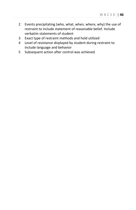- 2 Events precipitating (who, what, when, where, why) the use of restraint to include statement of reasonable belief. Include verbatim statements of student
- 3 Exact type of restraint methods and hold utilized
- 4 Level of resistance displayed by student during restraint to include language and behavior
- 5 Subsequent action after control was achieved